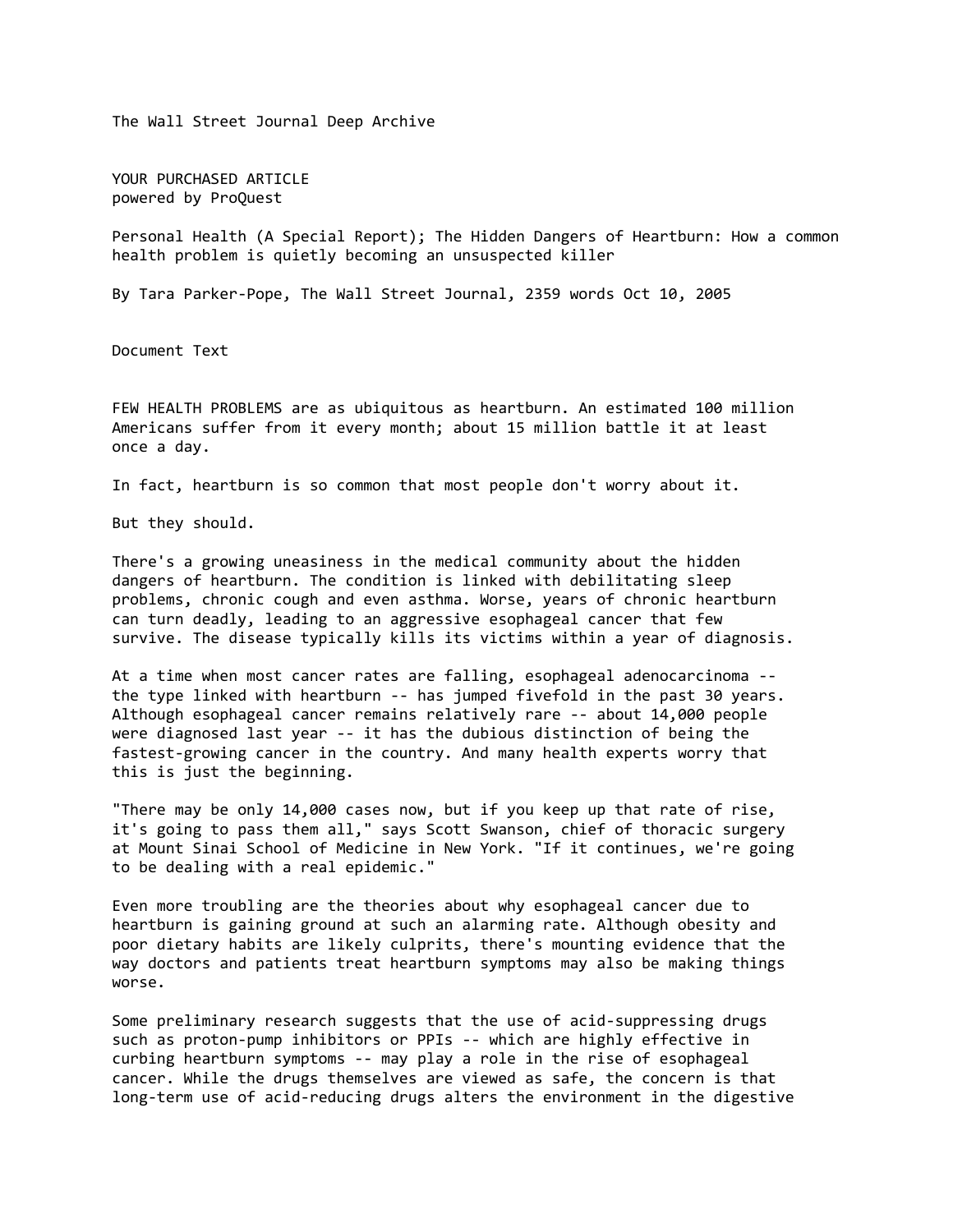The Wall Street Journal Deep Archive

YOUR PURCHASED ARTICLE powered by ProQuest

Personal Health (A Special Report); The Hidden Dangers of Heartburn: How a common health problem is quietly becoming an unsuspected killer

By Tara Parker-Pope, The Wall Street Journal, 2359 words Oct 10, 2005

Document Text

FEW HEALTH PROBLEMS are as ubiquitous as heartburn. An estimated 100 million Americans suffer from it every month; about 15 million battle it at least once a day.

In fact, heartburn is so common that most people don't worry about it.

But they should.

There's a growing uneasiness in the medical community about the hidden dangers of heartburn. The condition is linked with debilitating sleep problems, chronic cough and even asthma. Worse, years of chronic heartburn can turn deadly, leading to an aggressive esophageal cancer that few survive. The disease typically kills its victims within a year of diagnosis.

At a time when most cancer rates are falling, esophageal adenocarcinoma - the type linked with heartburn -- has jumped fivefold in the past 30 years. Although esophageal cancer remains relatively rare -- about 14,000 people were diagnosed last year -- it has the dubious distinction of being the fastest-growing cancer in the country. And many health experts worry that this is just the beginning.

"There may be only 14,000 cases now, but if you keep up that rate of rise, it's going to pass them all," says Scott Swanson, chief of thoracic surgery at Mount Sinai School of Medicine in New York. "If it continues, we're going to be dealing with a real epidemic."

Even more troubling are the theories about why esophageal cancer due to heartburn is gaining ground at such an alarming rate. Although obesity and poor dietary habits are likely culprits, there's mounting evidence that the way doctors and patients treat heartburn symptoms may also be making things worse.

Some preliminary research suggests that the use of acid-suppressing drugs such as proton-pump inhibitors or PPIs -- which are highly effective in curbing heartburn symptoms -- may play a role in the rise of esophageal cancer. While the drugs themselves are viewed as safe, the concern is that long-term use of acid-reducing drugs alters the environment in the digestive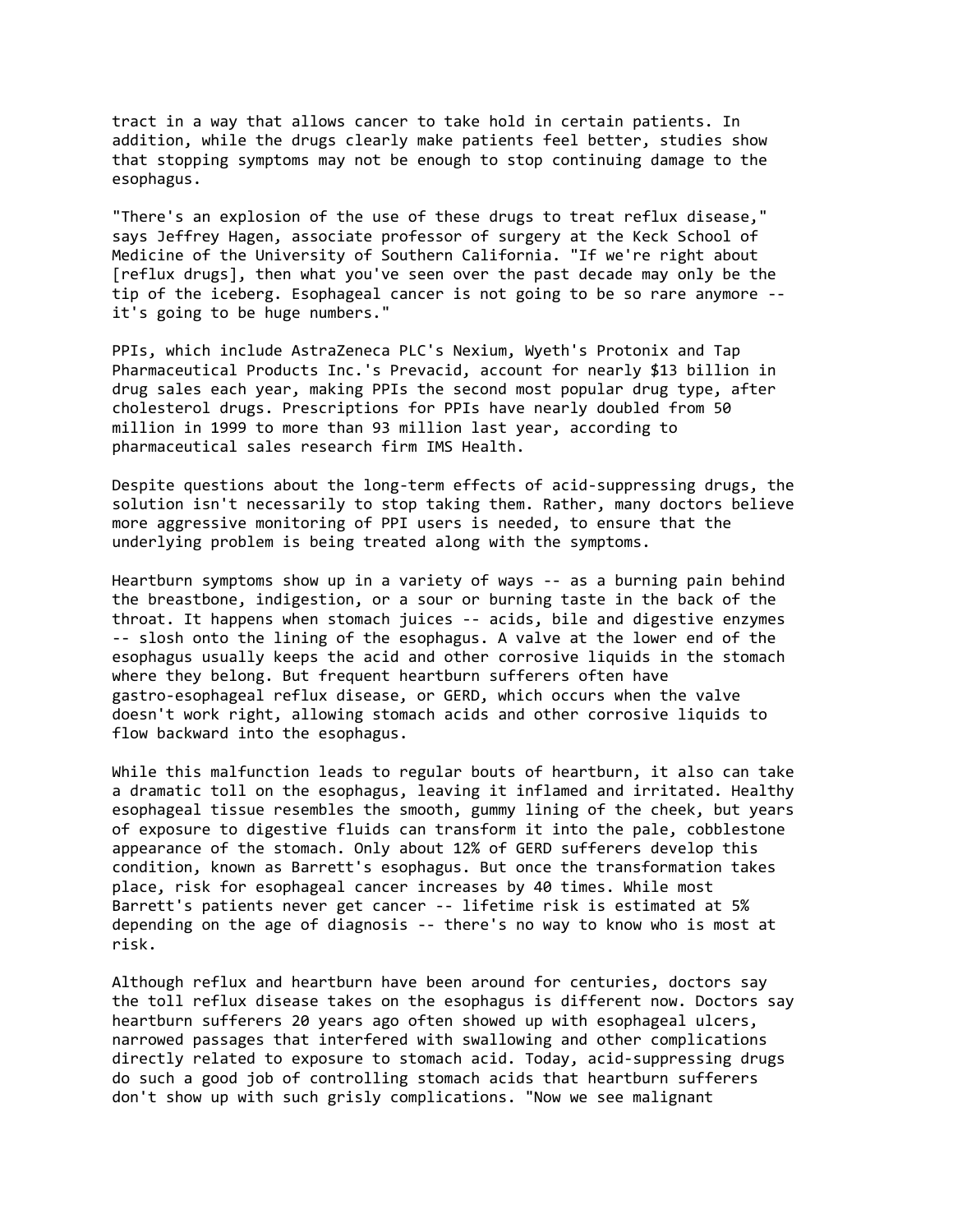tract in a way that allows cancer to take hold in certain patients. In addition, while the drugs clearly make patients feel better, studies show that stopping symptoms may not be enough to stop continuing damage to the esophagus.

"There's an explosion of the use of these drugs to treat reflux disease," says Jeffrey Hagen, associate professor of surgery at the Keck School of Medicine of the University of Southern California. "If we're right about [reflux drugs], then what you've seen over the past decade may only be the tip of the iceberg. Esophageal cancer is not going to be so rare anymore - it's going to be huge numbers."

PPIs, which include AstraZeneca PLC's Nexium, Wyeth's Protonix and Tap Pharmaceutical Products Inc.'s Prevacid, account for nearly \$13 billion in drug sales each year, making PPIs the second most popular drug type, after cholesterol drugs. Prescriptions for PPIs have nearly doubled from 50 million in 1999 to more than 93 million last year, according to pharmaceutical sales research firm IMS Health.

Despite questions about the long-term effects of acid-suppressing drugs, the solution isn't necessarily to stop taking them. Rather, many doctors believe more aggressive monitoring of PPI users is needed, to ensure that the underlying problem is being treated along with the symptoms.

Heartburn symptoms show up in a variety of ways -- as a burning pain behind the breastbone, indigestion, or a sour or burning taste in the back of the throat. It happens when stomach juices -- acids, bile and digestive enzymes -- slosh onto the lining of the esophagus. A valve at the lower end of the esophagus usually keeps the acid and other corrosive liquids in the stomach where they belong. But frequent heartburn sufferers often have gastro-esophageal reflux disease, or GERD, which occurs when the valve doesn't work right, allowing stomach acids and other corrosive liquids to flow backward into the esophagus.

While this malfunction leads to regular bouts of heartburn, it also can take a dramatic toll on the esophagus, leaving it inflamed and irritated. Healthy esophageal tissue resembles the smooth, gummy lining of the cheek, but years of exposure to digestive fluids can transform it into the pale, cobblestone appearance of the stomach. Only about 12% of GERD sufferers develop this condition, known as Barrett's esophagus. But once the transformation takes place, risk for esophageal cancer increases by 40 times. While most Barrett's patients never get cancer -- lifetime risk is estimated at 5% depending on the age of diagnosis -- there's no way to know who is most at risk.

Although reflux and heartburn have been around for centuries, doctors say the toll reflux disease takes on the esophagus is different now. Doctors say heartburn sufferers 20 years ago often showed up with esophageal ulcers, narrowed passages that interfered with swallowing and other complications directly related to exposure to stomach acid. Today, acid-suppressing drugs do such a good job of controlling stomach acids that heartburn sufferers don't show up with such grisly complications. "Now we see malignant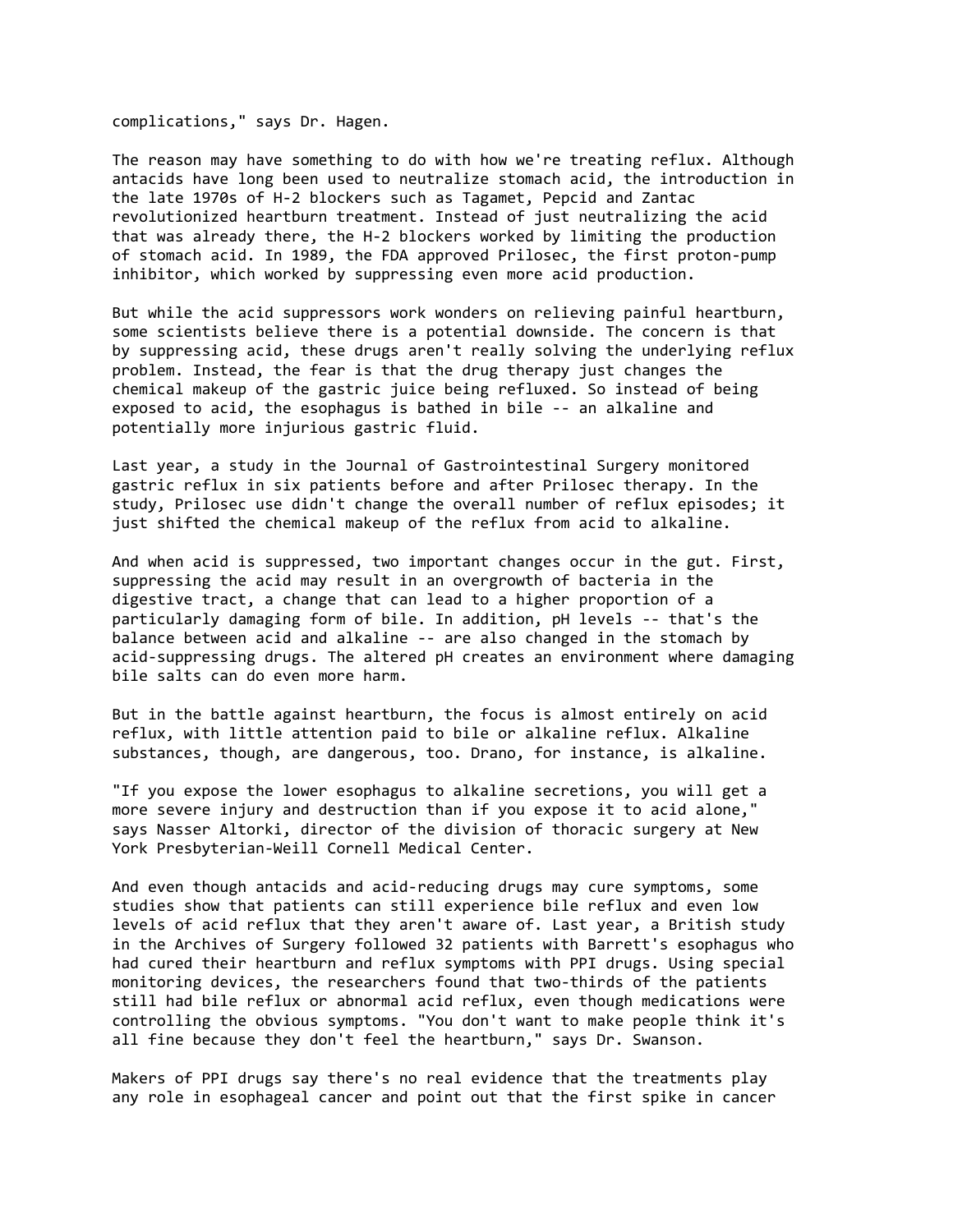complications," says Dr. Hagen.

The reason may have something to do with how we're treating reflux. Although antacids have long been used to neutralize stomach acid, the introduction in the late 1970s of H-2 blockers such as Tagamet, Pepcid and Zantac revolutionized heartburn treatment. Instead of just neutralizing the acid that was already there, the H-2 blockers worked by limiting the production of stomach acid. In 1989, the FDA approved Prilosec, the first proton-pump inhibitor, which worked by suppressing even more acid production.

But while the acid suppressors work wonders on relieving painful heartburn, some scientists believe there is a potential downside. The concern is that by suppressing acid, these drugs aren't really solving the underlying reflux problem. Instead, the fear is that the drug therapy just changes the chemical makeup of the gastric juice being refluxed. So instead of being exposed to acid, the esophagus is bathed in bile -- an alkaline and potentially more injurious gastric fluid.

Last year, a study in the Journal of Gastrointestinal Surgery monitored gastric reflux in six patients before and after Prilosec therapy. In the study, Prilosec use didn't change the overall number of reflux episodes; it just shifted the chemical makeup of the reflux from acid to alkaline.

And when acid is suppressed, two important changes occur in the gut. First, suppressing the acid may result in an overgrowth of bacteria in the digestive tract, a change that can lead to a higher proportion of a particularly damaging form of bile. In addition, pH levels -- that's the balance between acid and alkaline -- are also changed in the stomach by acid-suppressing drugs. The altered pH creates an environment where damaging bile salts can do even more harm.

But in the battle against heartburn, the focus is almost entirely on acid reflux, with little attention paid to bile or alkaline reflux. Alkaline substances, though, are dangerous, too. Drano, for instance, is alkaline.

"If you expose the lower esophagus to alkaline secretions, you will get a more severe injury and destruction than if you expose it to acid alone," says Nasser Altorki, director of the division of thoracic surgery at New York Presbyterian-Weill Cornell Medical Center.

And even though antacids and acid-reducing drugs may cure symptoms, some studies show that patients can still experience bile reflux and even low levels of acid reflux that they aren't aware of. Last year, a British study in the Archives of Surgery followed 32 patients with Barrett's esophagus who had cured their heartburn and reflux symptoms with PPI drugs. Using special monitoring devices, the researchers found that two-thirds of the patients still had bile reflux or abnormal acid reflux, even though medications were controlling the obvious symptoms. "You don't want to make people think it's all fine because they don't feel the heartburn," says Dr. Swanson.

Makers of PPI drugs say there's no real evidence that the treatments play any role in esophageal cancer and point out that the first spike in cancer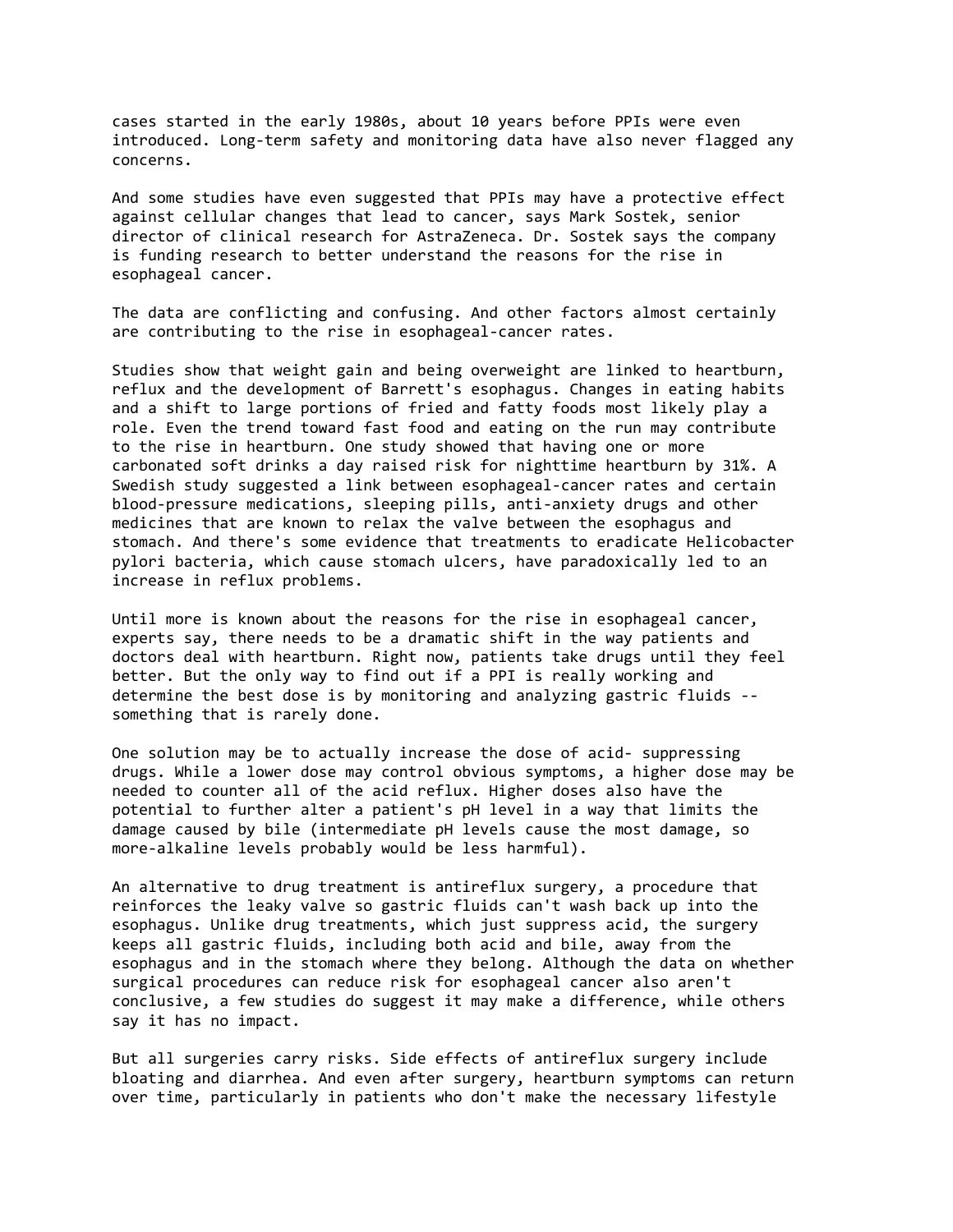cases started in the early 1980s, about 10 years before PPIs were even introduced. Long-term safety and monitoring data have also never flagged any concerns.

And some studies have even suggested that PPIs may have a protective effect against cellular changes that lead to cancer, says Mark Sostek, senior director of clinical research for AstraZeneca. Dr. Sostek says the company is funding research to better understand the reasons for the rise in esophageal cancer.

The data are conflicting and confusing. And other factors almost certainly are contributing to the rise in esophageal-cancer rates.

Studies show that weight gain and being overweight are linked to heartburn, reflux and the development of Barrett's esophagus. Changes in eating habits and a shift to large portions of fried and fatty foods most likely play a role. Even the trend toward fast food and eating on the run may contribute to the rise in heartburn. One study showed that having one or more carbonated soft drinks a day raised risk for nighttime heartburn by 31%. A Swedish study suggested a link between esophageal-cancer rates and certain blood-pressure medications, sleeping pills, anti-anxiety drugs and other medicines that are known to relax the valve between the esophagus and stomach. And there's some evidence that treatments to eradicate Helicobacter pylori bacteria, which cause stomach ulcers, have paradoxically led to an increase in reflux problems.

Until more is known about the reasons for the rise in esophageal cancer, experts say, there needs to be a dramatic shift in the way patients and doctors deal with heartburn. Right now, patients take drugs until they feel better. But the only way to find out if a PPI is really working and determine the best dose is by monitoring and analyzing gastric fluids - something that is rarely done.

One solution may be to actually increase the dose of acid- suppressing drugs. While a lower dose may control obvious symptoms, a higher dose may be needed to counter all of the acid reflux. Higher doses also have the potential to further alter a patient's pH level in a way that limits the damage caused by bile (intermediate pH levels cause the most damage, so more-alkaline levels probably would be less harmful).

An alternative to drug treatment is antireflux surgery, a procedure that reinforces the leaky valve so gastric fluids can't wash back up into the esophagus. Unlike drug treatments, which just suppress acid, the surgery keeps all gastric fluids, including both acid and bile, away from the esophagus and in the stomach where they belong. Although the data on whether surgical procedures can reduce risk for esophageal cancer also aren't conclusive, a few studies do suggest it may make a difference, while others say it has no impact.

But all surgeries carry risks. Side effects of antireflux surgery include bloating and diarrhea. And even after surgery, heartburn symptoms can return over time, particularly in patients who don't make the necessary lifestyle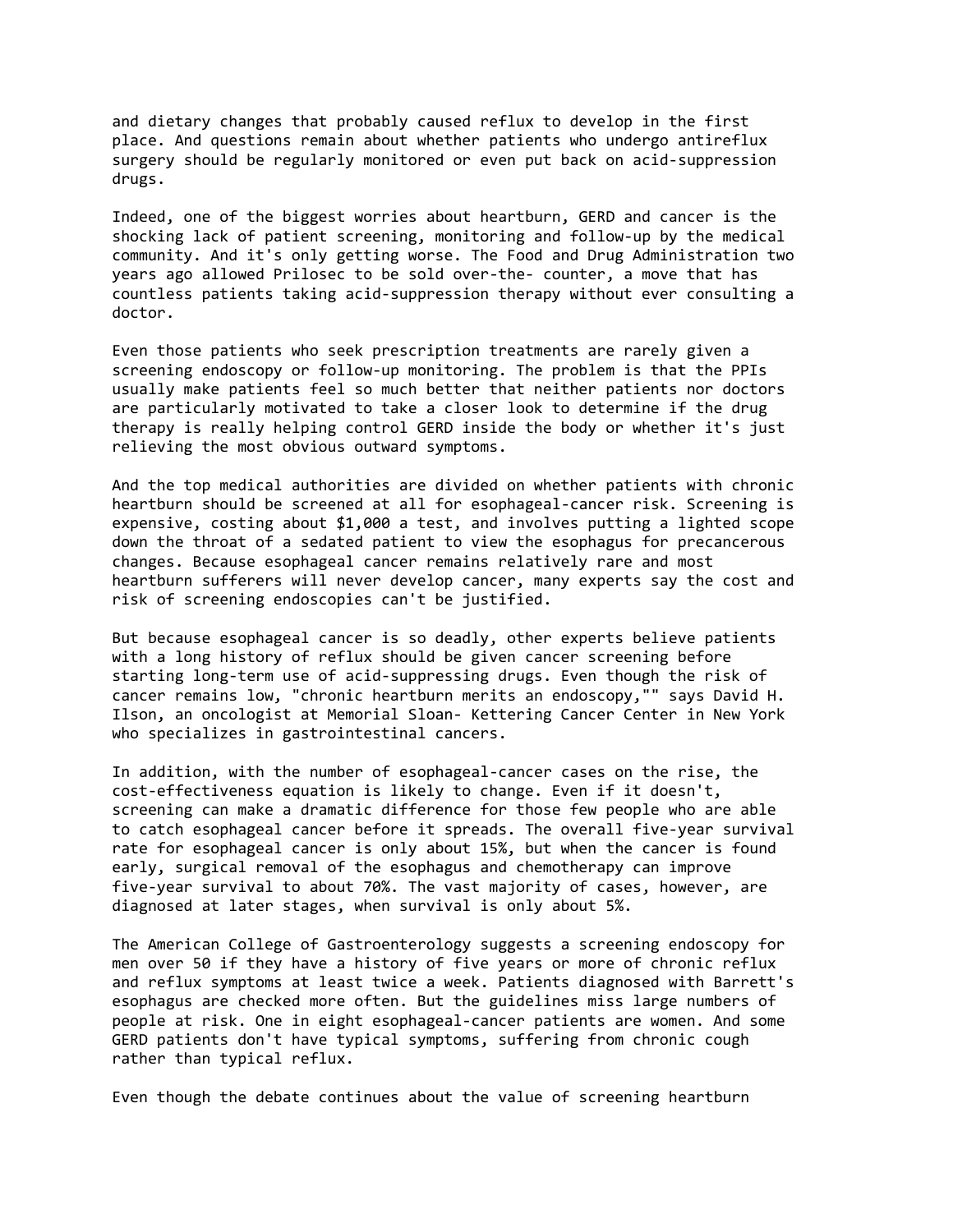and dietary changes that probably caused reflux to develop in the first place. And questions remain about whether patients who undergo antireflux surgery should be regularly monitored or even put back on acid-suppression drugs.

Indeed, one of the biggest worries about heartburn, GERD and cancer is the shocking lack of patient screening, monitoring and follow-up by the medical community. And it's only getting worse. The Food and Drug Administration two years ago allowed Prilosec to be sold over-the- counter, a move that has countless patients taking acid-suppression therapy without ever consulting a doctor.

Even those patients who seek prescription treatments are rarely given a screening endoscopy or follow-up monitoring. The problem is that the PPIs usually make patients feel so much better that neither patients nor doctors are particularly motivated to take a closer look to determine if the drug therapy is really helping control GERD inside the body or whether it's just relieving the most obvious outward symptoms.

And the top medical authorities are divided on whether patients with chronic heartburn should be screened at all for esophageal-cancer risk. Screening is expensive, costing about \$1,000 a test, and involves putting a lighted scope down the throat of a sedated patient to view the esophagus for precancerous changes. Because esophageal cancer remains relatively rare and most heartburn sufferers will never develop cancer, many experts say the cost and risk of screening endoscopies can't be justified.

But because esophageal cancer is so deadly, other experts believe patients with a long history of reflux should be given cancer screening before starting long-term use of acid-suppressing drugs. Even though the risk of cancer remains low, "chronic heartburn merits an endoscopy,"" says David H. Ilson, an oncologist at Memorial Sloan- Kettering Cancer Center in New York who specializes in gastrointestinal cancers.

In addition, with the number of esophageal-cancer cases on the rise, the cost-effectiveness equation is likely to change. Even if it doesn't, screening can make a dramatic difference for those few people who are able to catch esophageal cancer before it spreads. The overall five-year survival rate for esophageal cancer is only about 15%, but when the cancer is found early, surgical removal of the esophagus and chemotherapy can improve five-year survival to about 70%. The vast majority of cases, however, are diagnosed at later stages, when survival is only about 5%.

The American College of Gastroenterology suggests a screening endoscopy for men over 50 if they have a history of five years or more of chronic reflux and reflux symptoms at least twice a week. Patients diagnosed with Barrett's esophagus are checked more often. But the guidelines miss large numbers of people at risk. One in eight esophageal-cancer patients are women. And some GERD patients don't have typical symptoms, suffering from chronic cough rather than typical reflux.

Even though the debate continues about the value of screening heartburn